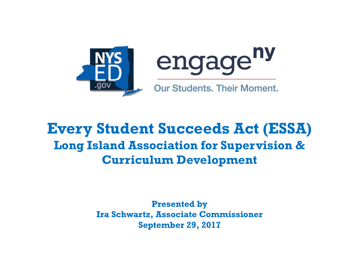



**Our Students. Their Moment.** 

### **Every Student Succeeds Act (ESSA) Long Island Association for Supervision & Curriculum Development**

**Presented by Ira Schwartz, Associate Commissioner September 29, 2017**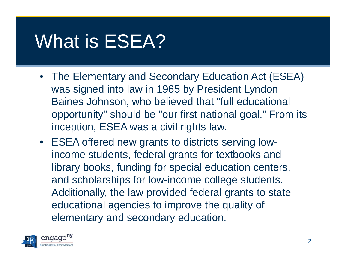## What is ESEA?

- The Elementary and Secondary Education Act (ESEA) was signed into law in 1965 by President Lyndon Baines Johnson, who believed that "full educational opportunity" should be "our first national goal." From its inception, ESEA was a civil rights law.
- ESEA offered new grants to districts serving lowincome students, federal grants for textbooks and library books, funding for special education centers, and scholarships for low-income college students. Additionally, the law provided federal grants to state educational agencies to improve the quality of elementary and secondary education.

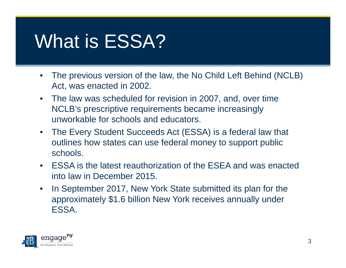## What is ESSA?

- $\bullet$  The previous version of the law, the No Child Left Behind (NCLB) Act, was enacted in 2002.
- The law was scheduled for revision in 2007, and, over time NCLB's prescriptive requirements became increasingly unworkable for schools and educators.
- $\bullet$  The Every Student Succeeds Act (ESSA) is a federal law that outlines how states can use federal money to support public schools.
- ESSA is the latest reauthorization of the ESEA and was enacted into law in December 2015.
- $\bullet$  In September 2017, New York State submitted its plan for the approximately \$1.6 billion New York receives annually under ESSA.

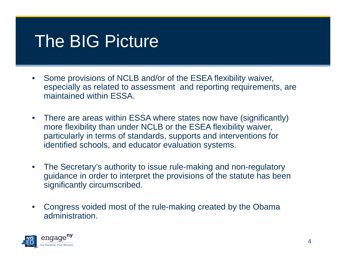### The BIG Picture

- • Some provisions of NCLB and/or of the ESEA flexibility waiver, especially as related to assessment and reporting requirements, are maintained within ESSA.
- • There are areas within ESSA where states now have (significantly) more flexibility than under NCLB or the ESEA flexibility waiver, particularly in terms of standards, supports and interventions for identified schools, and educator evaluation systems.
- • The Secretary's authority to issue rule-making and non-regulatory guidance in order to interpret the provisions of the statute has been significantly circumscribed.
- • Congress voided most of the rule-making created by the Obama administration.

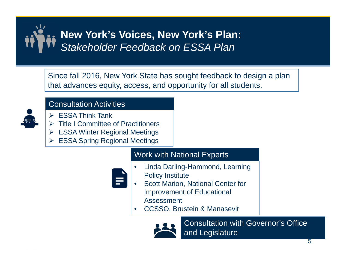

Since fall 2016, New York State has sought feedback to design a plan that advances equity, access, and opportunity for all students.



#### Consultation Activities

- ESSA Think Tank
- $\triangleright$  Title I Committee of Practitioners
- ESSA Winter Regional Meetings
- $\blacktriangleright$ ESSA Spring Regional Meetings

#### Work with National Experts

- • Linda Darling-Hammond, Learning Policy Institute
- • Scott Marion, National Center for Improvement of Educational Assessment
	- •CCSSO, Brustein & Manasevit



Consultation with Governor's Office and Legislature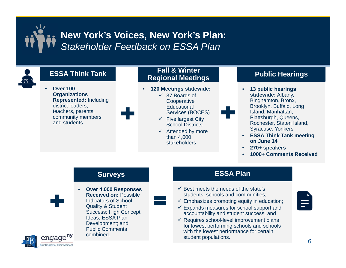

•

 **Over 100 Organizations Represented:** Including district leaders, teachers, parents, community members and students

•

#### **Fall & Winter Regional Meetings ESSA Think Tank**

- • **120 Meetings statewide:**
	- 37 Boards of **Cooperative Educational**
	- Services (BOCES)  $\checkmark$  Five largest City School Districts
	- $\checkmark$  Attended by more than 4,000 stakeholders

#### **Public Hearings**

- • **13 public hearings statewide:** Albany, Binghamton, Bronx, Brooklyn, Buffalo, Long Island, Manhattan, Plattsburgh, Queens, Rochester, Staten Island, Syracuse, Yonkers
- **ESSA Think Tank meeting on June 14**
- •**270+ speakers**
- •**1000+ Comments Received**

#### **Surveys**



 **Over 4,000 Responses Received on:** Possible Indicators of School Quality & Student Success; High Concept Ideas; ESSA Plan Development; and Public Comments combined.

**ESSA Plan**

- $\checkmark$  Best meets the needs of the state's students, schools and communities;
- $\checkmark$  Emphasizes promoting equity in education;
- $\checkmark$  Expands measures for school support and accountability and student success; and
- $\checkmark$  Requires school-level improvement plans for lowest performing schools and schools with the lowest performance for certain student populations.



6

÷.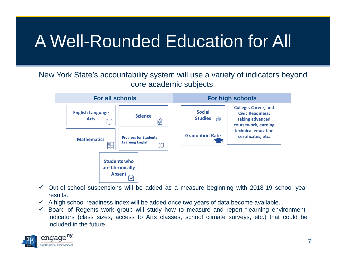## A Well-Rounded Education for All

New York State's accountability system will use a variety of indicators beyond core academic subjects.



- $\checkmark$  Out-of-school suspensions will be added as a measure beginning with 2018-19 school year results.
- $\checkmark$  A high school readiness index will be added once two years of data become available.
- $\checkmark$  Board of Regents work group will study how to measure and report "learning environment" indicators (class sizes, access to Arts classes, school climate surveys, etc.) that could be included in the future.

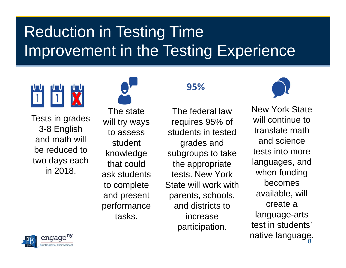## Reduction in Testing Time Improvement in the Testing Experience



Tests in grades 3-8 English and math will be reduced to two days each in 2018.

The state will try ways to assess student knowledge that could ask students to complete and present performance tasks.

#### **95%**

The federal law requires 95% of students in tested grades and subgroups to take the appropriate tests. New York State will work with parents, schools, and districts to increase participation.



native language.<br>' New York State will continue to translate math and science tests into more languages, and when funding becomes available, will create a language-arts test in students'

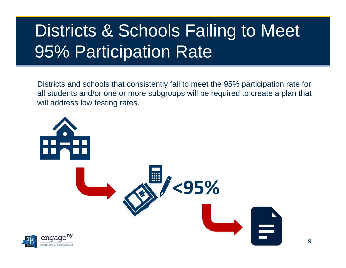## Districts & Schools Failing to Meet 95% Participation Rate

Districts and schools that consistently fail to meet the 95% participation rate for all students and/or one or more subgroups will be required to create a plan that will address low testing rates.

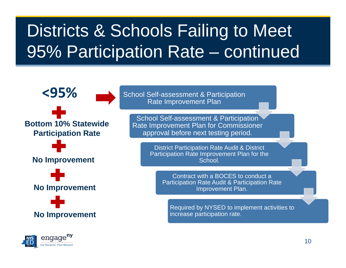## Districts & Schools Failing to Meet 95% Participation Rate – continued



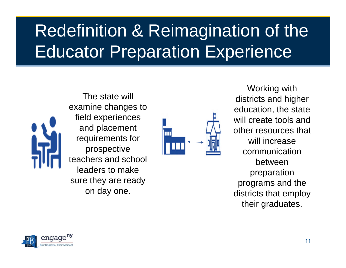## Redefinition & Reimagination of the Educator Preparation Experience



The state will examine changes to field experiences and placement requirements for prospective teachers and school leaders to make sure they are ready on day one.



Working with districts and higher education, the state will create tools and other resources that will increase communication between preparation programs and the districts that employ their graduates.

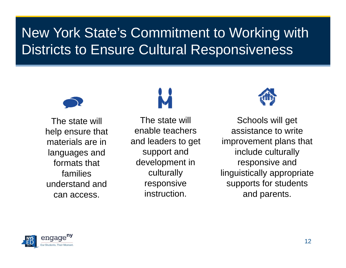### New York State's Commitment to Working with Districts to Ensure Cultural Responsiveness



The state will help ensure that materials are in languages and formats that families understand and can access.



The state will enable teachers and leaders to get support and development in culturally responsive instruction.



Schools will get assistance to write improvement plans that include culturally responsive and linguistically appropriate supports for students and parents.

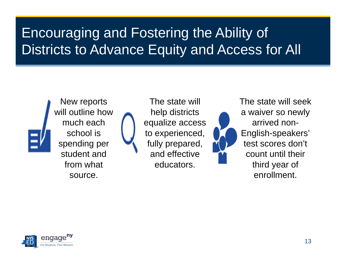### Encouraging and Fostering the Ability of Districts to Advance Equity and Access for All



New reports will outline how much each school is spending per student and from what source.

The state will help districts equalize access to experienced, fully prepared, and effective educators.



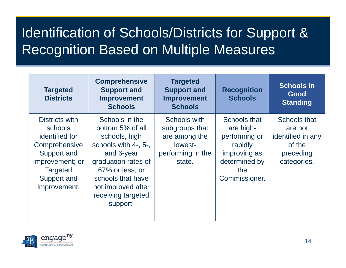### Identification of Schools/Districts for Support & Recognition Based on Multiple Measures

| <b>Targeted</b><br><b>Districts</b>                                                                                                              | <b>Comprehensive</b><br><b>Support and</b><br><b>Improvement</b><br><b>Schools</b>                                                                                                                               | <b>Targeted</b><br><b>Support and</b><br><b>Improvement</b><br><b>Schools</b>             | <b>Recognition</b><br><b>Schools</b>                                                                           | <b>Schools in</b><br>Good<br><b>Standing</b>                                       |
|--------------------------------------------------------------------------------------------------------------------------------------------------|------------------------------------------------------------------------------------------------------------------------------------------------------------------------------------------------------------------|-------------------------------------------------------------------------------------------|----------------------------------------------------------------------------------------------------------------|------------------------------------------------------------------------------------|
| Districts with<br>schools<br>identified for<br>Comprehensive<br>Support and<br>Improvement; or<br><b>Targeted</b><br>Support and<br>Improvement. | Schools in the<br>bottom 5% of all<br>schools, high<br>schools with 4-, 5-,<br>and 6-year<br>graduation rates of<br>67% or less, or<br>schools that have<br>not improved after<br>receiving targeted<br>support. | Schools with<br>subgroups that<br>are among the<br>lowest-<br>performing in the<br>state. | Schools that<br>are high-<br>performing or<br>rapidly<br>improving as<br>determined by<br>the<br>Commissioner. | Schools that<br>are not<br>identified in any<br>of the<br>preceding<br>categories. |

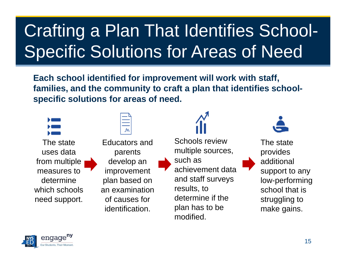# Crafting a Plan That Identifies School-Specific Solutions for Areas of Need

**Each school identified for improvement will work with staff, families, and the community to craft a plan that identifies schoolspecific solutions for areas of need.**

| The state     |  |
|---------------|--|
| uses data     |  |
| from multiple |  |
| measures to   |  |
| determine     |  |
| which schools |  |
| need support. |  |
|               |  |

Educators and parents develop an improvement plan based on an examination of causes for identification.



Schools review multiple sources, such as achievement data and staff surveys results, to determine if the plan has to be modified.



The state provides additional support to any low-performing school that is struggling to make gains.

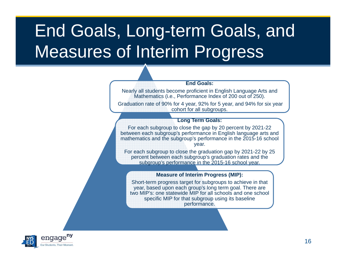## End Goals, Long-term Goals, and Measures of Interim Progress

#### **End Goals:**

Nearly all students become proficient in English Language Arts and Mathematics (i.e., Performance Index of 200 out of 250).

Graduation rate of 90% for 4 year, 92% for 5 year, and 94% for six year cohort for all subgroups.

#### **Long Term Goals:**

For each subgroup to close the gap by 20 percent by 2021-22 between each subgroup's performance in English language arts and mathematics and the subgroup's performance in the 2015-16 school year.

For each subgroup to close the graduation gap by 2021-22 by 25 percent between each subgroup's graduation rates and the subgroup's performance in the 2015-16 school year.

#### **Measure of Interim Progress (MIP):**

Short-term progress target for subgroups to achieve in that year, based upon each group's long term goal. There are two MIP's: one statewide MIP for all schools and one school specific MIP for that subgroup using its baseline performance.

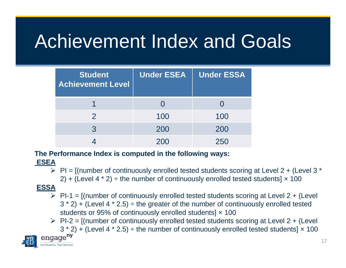# Achievement Index and Goals

| <b>Student</b><br><b>Achievement Level</b> | <b>Under ESEA</b> | <b>Under ESSA</b> |
|--------------------------------------------|-------------------|-------------------|
|                                            |                   |                   |
| $\mathcal P$                               | 100               | 100               |
| 3                                          | 200               | 200               |
|                                            | 200               | 250               |

#### **The Performance Index is computed in the following ways:**

#### **ESEA**

 $\triangleright$  PI = [(number of continuously enrolled tested students scoring at Level 2 + (Level 3  $^*$ 2) + (Level 4  $*$  2)  $\div$  the number of continuously enrolled tested students]  $\times$  100

#### **ESSA**

- $\triangleright$  PI-1 = [(number of continuously enrolled tested students scoring at Level 2 + (Level  $3 * 2$ ) + (Level 4  $* 2.5$ )  $\div$  the greater of the number of continuously enrolled tested students or 95% of continuously enrolled students]  $\times$  100
- $\triangleright$  PI-2 = [(number of continuously enrolled tested students scoring at Level 2 + (Level  $3 * 2$ ) + (Level 4  $* 2.5$ ) ÷ the number of continuously enrolled tested students]  $\times$  100

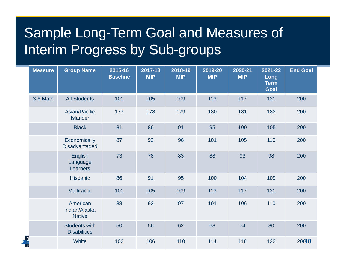### Sample Long-Term Goal and Measures of Interim Progress by Sub-groups

| <b>Measure</b> | <b>Group Name</b>                           | 2015-16<br><b>Baseline</b> | 2017-18<br><b>MIP</b> | 2018-19<br><b>MIP</b> | 2019-20<br><b>MIP</b> | 2020-21<br><b>MIP</b> | 2021-22<br>Long<br><b>Term</b><br>Goal | <b>End Goal</b> |
|----------------|---------------------------------------------|----------------------------|-----------------------|-----------------------|-----------------------|-----------------------|----------------------------------------|-----------------|
| 3-8 Math       | <b>All Students</b>                         | 101                        | 105                   | 109                   | 113                   | 117                   | 121                                    | 200             |
|                | Asian/Pacific<br><b>Islander</b>            | 177                        | 178                   | 179                   | 180                   | 181                   | 182                                    | 200             |
|                | <b>Black</b>                                | 81                         | 86                    | 91                    | 95                    | 100                   | 105                                    | 200             |
|                | Economically<br>Disadvantaged               | 87                         | 92                    | 96                    | 101                   | 105                   | 110                                    | 200             |
|                | <b>English</b><br>Language<br>Learners      | 73                         | 78                    | 83                    | 88                    | 93                    | 98                                     | 200             |
|                | Hispanic                                    | 86                         | 91                    | 95                    | 100                   | 104                   | 109                                    | 200             |
|                | <b>Multiracial</b>                          | 101                        | 105                   | 109                   | 113                   | 117                   | 121                                    | 200             |
|                | American<br>Indian/Alaska<br><b>Native</b>  | 88                         | 92                    | 97                    | 101                   | 106                   | 110                                    | 200             |
|                | <b>Students with</b><br><b>Disabilities</b> | 50                         | 56                    | 62                    | 68                    | 74                    | 80                                     | 200             |
|                | White                                       | 102                        | 106                   | 110                   | 114                   | 118                   | 122                                    | 20018           |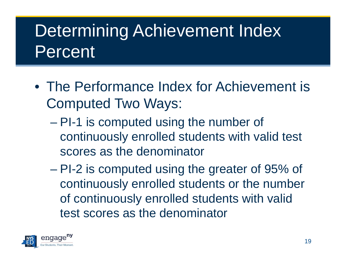## Determining Achievement Index Percent

- The Performance Index for Achievement is Computed Two Ways:
	- $\mathcal{L}_{\mathcal{A}}$  PI-1 is computed using the number of continuously enrolled students with valid test scores as the denominator
	- PI-2 is computed using the greater of 95% of continuously enrolled students or the number of continuously enrolled students with valid test scores as the denominator

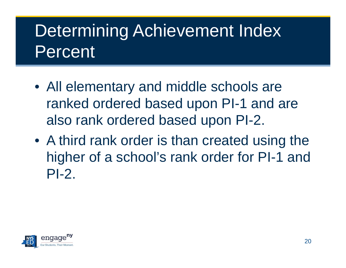## Determining Achievement Index Percent

- All elementary and middle schools are ranked ordered based upon PI-1 and are also rank ordered based upon PI-2.
- A third rank order is than created using the higher of a school's rank order for PI-1 and PI-2.

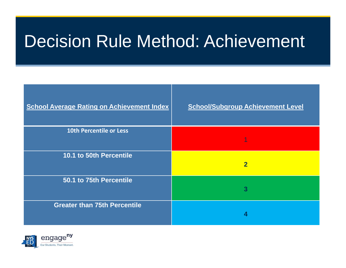### Decision Rule Method: Achievement

| <b>School Average Rating on Achievement Index</b> | <b>School/Subgroup Achievement Level</b> |
|---------------------------------------------------|------------------------------------------|
| <b>10th Percentile or Less</b>                    |                                          |
| 10.1 to 50th Percentile                           | $\overline{\mathbf{2}}$                  |
| 50.1 to 75th Percentile                           | 3                                        |
| <b>Greater than 75th Percentile</b>               |                                          |

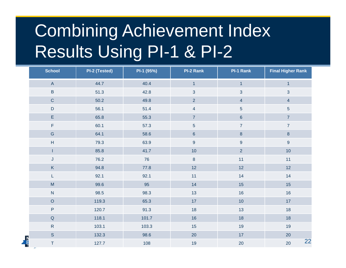## Combining Achievement Index Results Using PI-1 & PI-2

| <b>School</b>                                                                                              | PI-2 (Tested) | PI-1 (95%) | <b>PI-2 Rank</b> | PI-1 Rank        | <b>Final Higher Rank</b> |
|------------------------------------------------------------------------------------------------------------|---------------|------------|------------------|------------------|--------------------------|
| $\mathsf{A}% _{\mathsf{A}}^{\prime}=\mathsf{A}_{\mathsf{A}}^{\prime}$                                      | 44.7          | 40.4       | $\overline{1}$   | $\overline{1}$   | $\overline{1}$           |
| $\sf B$                                                                                                    | 51.3          | 42.8       | $\mathbf{3}$     | $\mathbf{3}$     | $\mathbf{3}$             |
| $\mathsf C$                                                                                                | 50.2          | 49.8       | $\overline{2}$   | $\overline{4}$   | $\overline{4}$           |
| $\mathsf D$                                                                                                | 56.1          | 51.4       | $\overline{4}$   | $\overline{5}$   | $\overline{5}$           |
| $\mathsf E$                                                                                                | 65.8          | 55.3       | $\overline{7}$   | $\boldsymbol{6}$ | $\overline{7}$           |
| $\mathsf F$                                                                                                | 60.1          | 57.3       | $\sqrt{5}$       | $\overline{7}$   | $\overline{7}$           |
| ${\mathsf G}$                                                                                              | 64.1          | 58.6       | $\boldsymbol{6}$ | $\bf 8$          | $\bf{8}$                 |
| H                                                                                                          | 79.3          | 63.9       | $\boldsymbol{9}$ | $\boldsymbol{9}$ | $\boldsymbol{9}$         |
| L                                                                                                          | 85.8          | 41.7       | 10               | $\overline{2}$   | 10                       |
| J                                                                                                          | 76.2          | 76         | $\bf 8$          | 11               | 11                       |
| $\mathsf K$                                                                                                | 94.8          | 77.8       | 12               | 12               | 12                       |
| L                                                                                                          | 92.1          | 92.1       | 11               | 14               | 14                       |
| $\mathsf{M}% _{T}=\mathsf{M}_{T}\!\left( a,b\right) ,\ \mathsf{M}_{T}=\mathsf{M}_{T}\!\left( a,b\right) ,$ | 99.6          | 95         | 14               | 15               | 15                       |
| ${\sf N}$                                                                                                  | 98.5          | 98.3       | 13               | $16$             | 16                       |
| $\mathsf O$                                                                                                | 119.3         | 65.3       | $17$             | $10$             | 17                       |
| $\sf P$                                                                                                    | 120.7         | 91.3       | 18               | 13               | 18                       |
| $\mathsf Q$                                                                                                | 118.1         | 101.7      | 16               | 18               | 18                       |
| $\mathsf{R}$                                                                                               | 103.1         | 103.3      | 15               | 19               | 19                       |
| S                                                                                                          | 132.3         | 98.6       | $20\,$           | 17               | $20\,$                   |
| $\frac{1}{\frac{1}{2}}$<br>$\top$                                                                          | 127.7         | 108        | 19               | 20               | 22<br>20                 |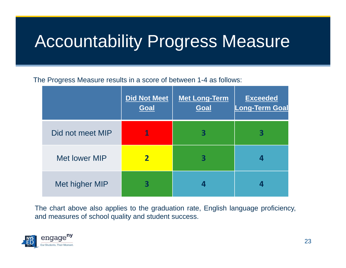## Accountability Progress Measure

The Progress Measure results in <sup>a</sup> score of between 1-4 as follows:

|                      | <b>Did Not Meet</b><br><b>Goal</b> | Met Long-Term<br><b>Goal</b> | <b>Exceeded</b><br><b>Long-Term Goal</b> |
|----------------------|------------------------------------|------------------------------|------------------------------------------|
| Did not meet MIP     | 1                                  | 3                            | 3                                        |
| <b>Met lower MIP</b> |                                    |                              |                                          |
| Met higher MIP       |                                    |                              | 4                                        |

The chart above also applies to the graduation rate, English language proficiency, and measures of school quality and student success.

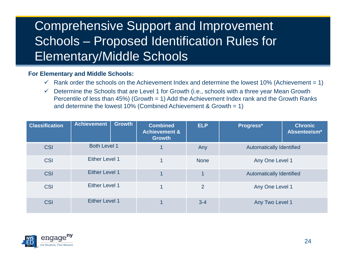### Comprehensive Support and Improvement Schools – Proposed Identification Rules for Elementary/Middle Schools

#### **For Elementary and Middle Schools:**

- $\checkmark$  Rank order the schools on the Achievement Index and determine the lowest 10% (Achievement = 1)
- $\sqrt{ }$  Determine the Schools that are Level 1 for Growth (i.e., schools with a three year Mean Growth Percentile of less than 45%) (Growth = 1) Add the Achievement Index rank and the Growth Ranks and determine the lowest 10% (Combined Achievement & Growth = 1)

| <b>Classification</b> | <b>Achievement</b><br><b>Growth</b> | <b>Combined</b><br><b>Achievement &amp;</b><br><b>Growth</b> | <b>ELP</b>     | Progress*                       | <b>Chronic</b><br>Absenteeism* |
|-----------------------|-------------------------------------|--------------------------------------------------------------|----------------|---------------------------------|--------------------------------|
| <b>CSI</b>            | <b>Both Level 1</b>                 |                                                              | Any            | <b>Automatically Identified</b> |                                |
| <b>CSI</b>            | <b>Either Level 1</b>               | 1                                                            | <b>None</b>    | Any One Level 1                 |                                |
| <b>CSI</b>            | <b>Either Level 1</b>               |                                                              |                | <b>Automatically Identified</b> |                                |
| <b>CSI</b>            | <b>Either Level 1</b>               |                                                              | $\overline{2}$ | Any One Level 1                 |                                |
| <b>CSI</b>            | <b>Either Level 1</b>               |                                                              | $3 - 4$        | Any Two Level 1                 |                                |

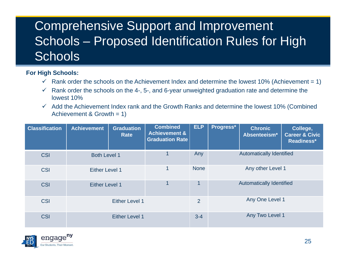### Comprehensive Support and Improvement Schools – Proposed Identification Rules for High **Schools**

#### **For High Schools:**

- $\checkmark$  Rank order the schools on the Achievement Index and determine the lowest 10% (Achievement = 1)
- $\checkmark$  Rank order the schools on the 4-, 5-, and 6-year unweighted graduation rate and determine the lowest 10%
- $\checkmark$  Add the Achievement Index rank and the Growth Ranks and determine the lowest 10% (Combined Achievement & Growth = 1)

| <b>Classification</b> | <b>Achievement</b>    | <b>Graduation</b><br>Rate | <b>Combined</b><br><b>Achievement &amp;</b><br><b>Graduation Rate</b> | <b>ELP</b>     | Progress*                       | <b>Chronic</b><br>Absenteeism*  | College,<br><b>Career &amp; Civic</b><br>Readiness* |
|-----------------------|-----------------------|---------------------------|-----------------------------------------------------------------------|----------------|---------------------------------|---------------------------------|-----------------------------------------------------|
| <b>CSI</b>            | <b>Both Level 1</b>   |                           |                                                                       | Any            | <b>Automatically Identified</b> |                                 |                                                     |
| <b>CSI</b>            | Either Level 1        |                           | 1                                                                     | <b>None</b>    |                                 | Any other Level 1               |                                                     |
| <b>CSI</b>            | <b>Either Level 1</b> |                           | 1                                                                     | 1              |                                 | <b>Automatically Identified</b> |                                                     |
| <b>CSI</b>            | <b>Either Level 1</b> |                           |                                                                       | $\overline{2}$ |                                 | Any One Level 1                 |                                                     |
| <b>CSI</b>            |                       | <b>Either Level 1</b>     |                                                                       | $3 - 4$        |                                 | Any Two Level 1                 |                                                     |

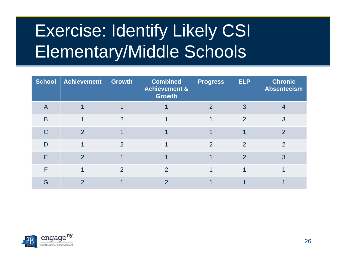# Exercise: Identify Likely CSI Elementary/Middle Schools

| <b>School</b>           | Achievement    | <b>Growth</b>  | <b>Combined</b><br><b>Achievement &amp;</b><br><b>Growth</b> | <b>Progress</b> | <b>ELP</b>     | <b>Chronic</b><br><b>Absenteeism</b> |
|-------------------------|----------------|----------------|--------------------------------------------------------------|-----------------|----------------|--------------------------------------|
| $\overline{\mathsf{A}}$ |                |                |                                                              | $\overline{2}$  | 3              |                                      |
| B                       |                | 2              |                                                              |                 | $\overline{2}$ | 3                                    |
| $\mathsf C$             | $\overline{2}$ |                |                                                              |                 |                | $\overline{2}$                       |
| D                       |                | 2              |                                                              | $\overline{2}$  | 2              | $\overline{2}$                       |
| E                       | $\mathcal{P}$  |                |                                                              |                 | $\overline{2}$ | 3                                    |
| F                       |                | $\overline{2}$ | 2                                                            |                 |                |                                      |
| G                       | 2              |                | $\overline{2}$                                               |                 |                |                                      |

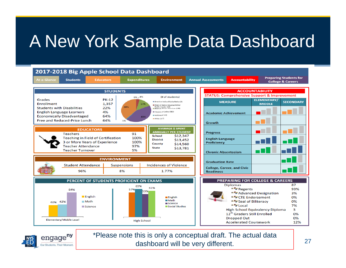## A New York Sample Data Dashboard





\*Please note this is only a conceptual draft. The actual data dashboard will be very different.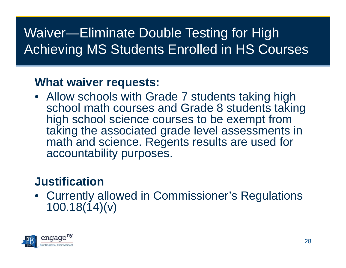### Waiver—Eliminate Double Testing for High Achieving MS Students Enrolled in HS Courses

#### **What waiver requests:**

• Allow schools with Grade 7 students taking high school math courses and Grade 8 students taking high school science courses to be exempt from taking the associated grade level assessments in math and science. Regents results are used for accountability purposes.

### **Justification**

• Currently allowed in Commissioner's Regulations 100.18(14)(v)

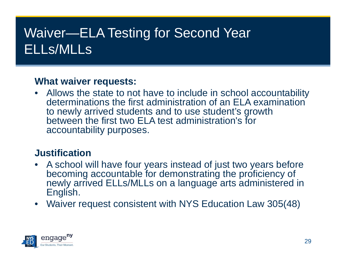### Waiver—ELA Testing for Second Year ELLs/MLLs

#### **What waiver requests:**

• Allows the state to not have to include in school accountability determinations the first administration of an ELA examination to newly arrived students and to use student's growth between the first two ELA test administration's for accountability purposes.

#### **Justification**

- A school will have four years instead of just two years before becoming accountable for demonstrating the proficiency of newly arrived ELLs/MLLs on a language arts administered in English.
- Waiver request consistent with NYS Education Law 305(48)

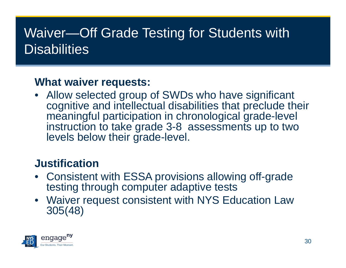### Waiver—Off Grade Testing for Students with Disabilities

#### **What waiver requests:**

• Allow selected group of SWDs who have significant cognitive and intellectual disabilities that preclude their meaningful participation in chronological grade-level instruction to take grade 3-8 assessments up to two levels below their grade-level.

#### **Justification**

- • Consistent with ESSA provisions allowing off-grade testing through computer adaptive tests
- Waiver request consistent with NYS Education Law 305(48)

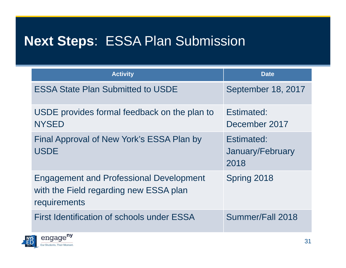### **Next Steps**: ESSA Plan Submission

| <b>Activity</b>                                                                                          | <b>Date</b>                            |
|----------------------------------------------------------------------------------------------------------|----------------------------------------|
| <b>ESSA State Plan Submitted to USDE</b>                                                                 | September 18, 2017                     |
| USDE provides formal feedback on the plan to<br><b>NYSED</b>                                             | Estimated:<br>December 2017            |
| Final Approval of New York's ESSA Plan by<br><b>USDE</b>                                                 | Estimated:<br>January/February<br>2018 |
| <b>Engagement and Professional Development</b><br>with the Field regarding new ESSA plan<br>requirements | Spring 2018                            |
| First Identification of schools under ESSA                                                               | Summer/Fall 2018                       |

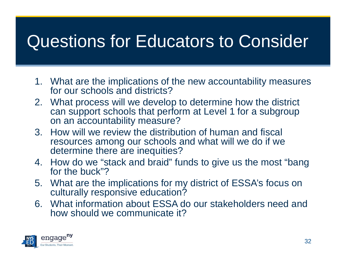## Questions for Educators to Consider

- 1. What are the implications of the new accountability measures for our schools and districts?
- 2. What process will we develop to determine how the district can support schools that perform at Level 1 for a subgroup on an accountability measure?
- 3. How will we review the distribution of human and fiscal resources among our schools and what will we do if we determine there are inequities?
- 4. How do we "stack and braid" funds to give us the most "bang for the buck"?
- 5. What are the implications for my district of ESSA's focus on culturally responsive education?
- 6. What information about ESSA do our stakeholders need and how should we communicate it?

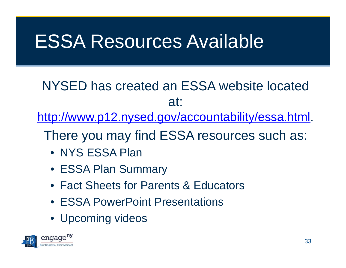## ESSA Resources Available

NYSED has created an ESSA website located at:

http://www.p12.nysed.gov/accountability/essa.html.

There you may find ESSA resources such as:

- NYS ESSA Plan
- ESSA Plan Summary
- Fact Sheets for Parents & Educators
- ESSA PowerPoint Presentations
- Upcoming videos

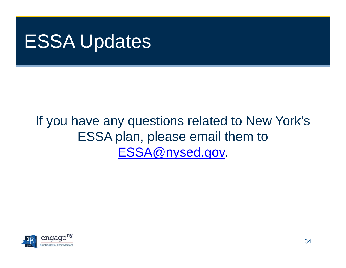## ESSA Updates

### If you have any questions related to New York's ESSA plan, please email them to ESSA@nysed.gov.